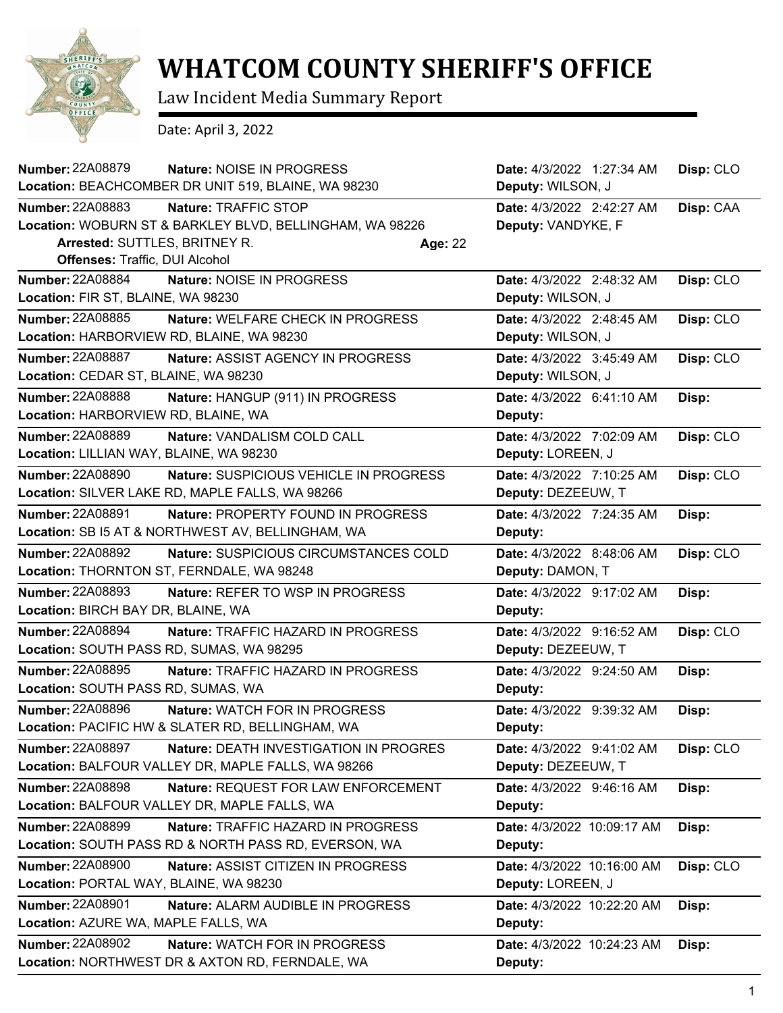

## **WHATCOM COUNTY SHERIFF'S OFFICE**

Law Incident Media Summary Report

Date: April 3, 2022

| <b>Number: 22A08879</b><br>Nature: NOISE IN PROGRESS<br>Location: BEACHCOMBER DR UNIT 519, BLAINE, WA 98230                                                                    |                                               | Date: 4/3/2022 1:27:34 AM<br>Deputy: WILSON, J  | Disp: CLO |
|--------------------------------------------------------------------------------------------------------------------------------------------------------------------------------|-----------------------------------------------|-------------------------------------------------|-----------|
| Number: 22A08883<br>Nature: TRAFFIC STOP<br>Location: WOBURN ST & BARKLEY BLVD, BELLINGHAM, WA 98226<br>Arrested: SUTTLES, BRITNEY R.<br><b>Offenses: Traffic, DUI Alcohol</b> | Age: 22                                       | Date: 4/3/2022 2:42:27 AM<br>Deputy: VANDYKE, F | Disp: CAA |
| <b>Number: 22A08884</b><br>Nature: NOISE IN PROGRESS<br>Location: FIR ST, BLAINE, WA 98230                                                                                     |                                               | Date: 4/3/2022 2:48:32 AM<br>Deputy: WILSON, J  | Disp: CLO |
| Number: 22A08885<br>Location: HARBORVIEW RD, BLAINE, WA 98230                                                                                                                  | Nature: WELFARE CHECK IN PROGRESS             | Date: 4/3/2022 2:48:45 AM<br>Deputy: WILSON, J  | Disp: CLO |
| <b>Number: 22A08887</b><br>Location: CEDAR ST, BLAINE, WA 98230                                                                                                                | <b>Nature: ASSIST AGENCY IN PROGRESS</b>      | Date: 4/3/2022 3:45:49 AM<br>Deputy: WILSON, J  | Disp: CLO |
| Number: 22A08888<br>Location: HARBORVIEW RD, BLAINE, WA                                                                                                                        | Nature: HANGUP (911) IN PROGRESS              | Date: 4/3/2022 6:41:10 AM<br>Deputy:            | Disp:     |
| Number: 22A08889<br>Nature: VANDALISM COLD CALL<br>Location: LILLIAN WAY, BLAINE, WA 98230                                                                                     |                                               | Date: 4/3/2022 7:02:09 AM<br>Deputy: LOREEN, J  | Disp: CLO |
| <b>Number: 22A08890</b><br>Location: SILVER LAKE RD, MAPLE FALLS, WA 98266                                                                                                     | Nature: SUSPICIOUS VEHICLE IN PROGRESS        | Date: 4/3/2022 7:10:25 AM<br>Deputy: DEZEEUW, T | Disp: CLO |
| <b>Number: 22A08891</b><br>Location: SB I5 AT & NORTHWEST AV, BELLINGHAM, WA                                                                                                   | Nature: PROPERTY FOUND IN PROGRESS            | Date: 4/3/2022 7:24:35 AM<br>Deputy:            | Disp:     |
| <b>Number: 22A08892</b><br>Location: THORNTON ST, FERNDALE, WA 98248                                                                                                           | Nature: SUSPICIOUS CIRCUMSTANCES COLD         | Date: 4/3/2022 8:48:06 AM<br>Deputy: DAMON, T   | Disp: CLO |
| Number: 22A08893<br>Location: BIRCH BAY DR, BLAINE, WA                                                                                                                         | Nature: REFER TO WSP IN PROGRESS              | Date: 4/3/2022 9:17:02 AM<br>Deputy:            | Disp:     |
| Number: 22A08894<br>Location: SOUTH PASS RD, SUMAS, WA 98295                                                                                                                   | <b>Nature: TRAFFIC HAZARD IN PROGRESS</b>     | Date: 4/3/2022 9:16:52 AM<br>Deputy: DEZEEUW, T | Disp: CLO |
| Number: 22A08895<br>Location: SOUTH PASS RD, SUMAS, WA                                                                                                                         | Nature: TRAFFIC HAZARD IN PROGRESS            | Date: 4/3/2022 9:24:50 AM<br>Deputy:            | Disp:     |
| <b>Number: 22A08896</b><br>Location: PACIFIC HW & SLATER RD, BELLINGHAM, WA                                                                                                    | Nature: WATCH FOR IN PROGRESS                 | Date: 4/3/2022 9:39:32 AM<br>Deputy:            | Disp:     |
| Number: 22A08897<br>Location: BALFOUR VALLEY DR, MAPLE FALLS, WA 98266                                                                                                         | <b>Nature: DEATH INVESTIGATION IN PROGRES</b> | Date: 4/3/2022 9:41:02 AM<br>Deputy: DEZEEUW, T | Disp: CLO |
| Number: 22A08898<br>Location: BALFOUR VALLEY DR, MAPLE FALLS, WA                                                                                                               | Nature: REQUEST FOR LAW ENFORCEMENT           | Date: 4/3/2022 9:46:16 AM<br>Deputy:            | Disp:     |
| Number: 22A08899<br>Location: SOUTH PASS RD & NORTH PASS RD, EVERSON, WA                                                                                                       | Nature: TRAFFIC HAZARD IN PROGRESS            | Date: 4/3/2022 10:09:17 AM<br>Deputy:           | Disp:     |
| <b>Number: 22A08900</b><br>Location: PORTAL WAY, BLAINE, WA 98230                                                                                                              | Nature: ASSIST CITIZEN IN PROGRESS            | Date: 4/3/2022 10:16:00 AM<br>Deputy: LOREEN, J | Disp: CLO |
| <b>Number: 22A08901</b><br>Location: AZURE WA, MAPLE FALLS, WA                                                                                                                 | Nature: ALARM AUDIBLE IN PROGRESS             | Date: 4/3/2022 10:22:20 AM<br>Deputy:           | Disp:     |
| Number: 22A08902<br>Location: NORTHWEST DR & AXTON RD, FERNDALE, WA                                                                                                            | Nature: WATCH FOR IN PROGRESS                 | Date: 4/3/2022 10:24:23 AM<br>Deputy:           | Disp:     |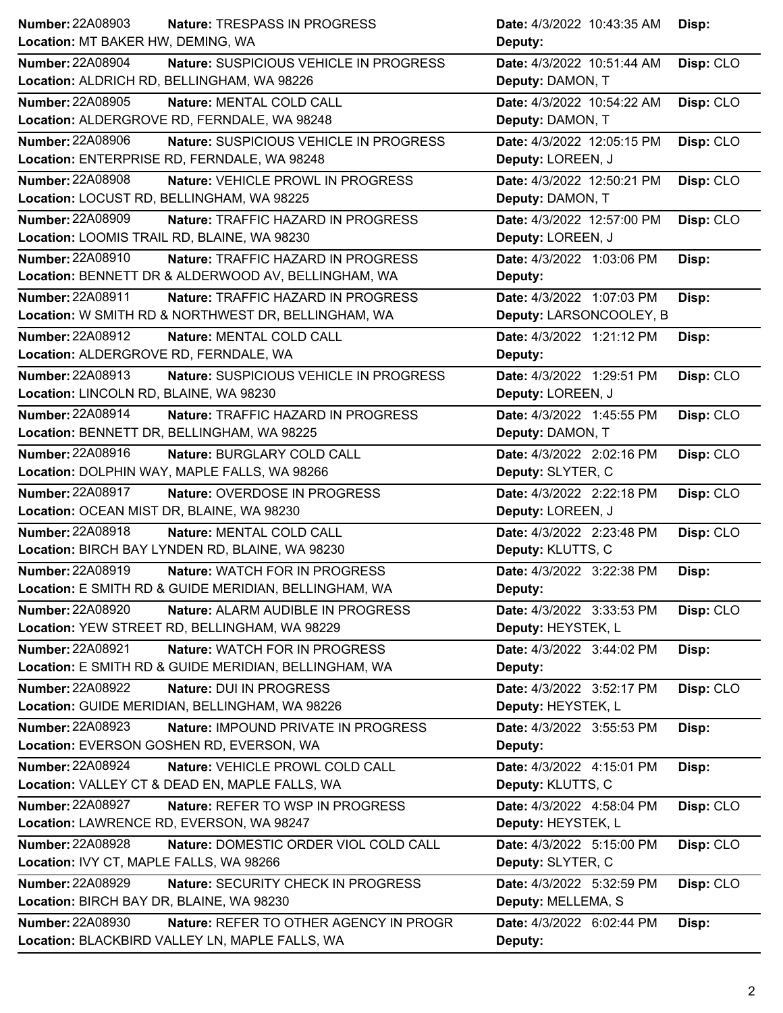| Number: 22A08903                                      | Date: 4/3/2022 10:43:35 AM |
|-------------------------------------------------------|----------------------------|
| Nature: TRESPASS IN PROGRESS                          | Disp:                      |
| Location: MT BAKER HW, DEMING, WA                     | Deputy:                    |
| <b>Number: 22A08904</b>                               | Disp: CLO                  |
| Nature: SUSPICIOUS VEHICLE IN PROGRESS                | Date: 4/3/2022 10:51:44 AM |
| Location: ALDRICH RD, BELLINGHAM, WA 98226            | Deputy: DAMON, T           |
| <b>Number: 22A08905</b>                               | Date: 4/3/2022 10:54:22 AM |
| Nature: MENTAL COLD CALL                              | Disp: CLO                  |
| Location: ALDERGROVE RD, FERNDALE, WA 98248           | Deputy: DAMON, T           |
| <b>Number: 22A08906</b>                               | Date: 4/3/2022 12:05:15 PM |
| Nature: SUSPICIOUS VEHICLE IN PROGRESS                | Disp: CLO                  |
| Location: ENTERPRISE RD, FERNDALE, WA 98248           | Deputy: LOREEN, J          |
| <b>Number: 22A08908</b>                               | Date: 4/3/2022 12:50:21 PM |
| Nature: VEHICLE PROWL IN PROGRESS                     | Disp: CLO                  |
| Location: LOCUST RD, BELLINGHAM, WA 98225             | Deputy: DAMON, T           |
| Number: 22A08909                                      | Date: 4/3/2022 12:57:00 PM |
| Nature: TRAFFIC HAZARD IN PROGRESS                    | Disp: CLO                  |
| Location: LOOMIS TRAIL RD, BLAINE, WA 98230           | Deputy: LOREEN, J          |
| Number: 22A08910                                      | Date: 4/3/2022 1:03:06 PM  |
| Nature: TRAFFIC HAZARD IN PROGRESS                    | Disp:                      |
| Location: BENNETT DR & ALDERWOOD AV, BELLINGHAM, WA   | Deputy:                    |
| Number: 22A08911                                      | Date: 4/3/2022 1:07:03 PM  |
| Nature: TRAFFIC HAZARD IN PROGRESS                    | Disp:                      |
| Location: W SMITH RD & NORTHWEST DR, BELLINGHAM, WA   | Deputy: LARSONCOOLEY, B    |
| Number: 22A08912                                      | Date: 4/3/2022 1:21:12 PM  |
| Nature: MENTAL COLD CALL                              | Disp:                      |
| Location: ALDERGROVE RD, FERNDALE, WA                 | Deputy:                    |
| Number: 22A08913                                      | Disp: CLO                  |
| Nature: SUSPICIOUS VEHICLE IN PROGRESS                | Date: 4/3/2022 1:29:51 PM  |
| Location: LINCOLN RD, BLAINE, WA 98230                | Deputy: LOREEN, J          |
| Number: 22A08914                                      | Disp: CLO                  |
| <b>Nature: TRAFFIC HAZARD IN PROGRESS</b>             | Date: 4/3/2022 1:45:55 PM  |
| Location: BENNETT DR, BELLINGHAM, WA 98225            | Deputy: DAMON, T           |
| Number: 22A08916                                      | Date: 4/3/2022 2:02:16 PM  |
| Nature: BURGLARY COLD CALL                            | Disp: CLO                  |
| Location: DOLPHIN WAY, MAPLE FALLS, WA 98266          | Deputy: SLYTER, C          |
| Number: 22A08917                                      | Date: 4/3/2022 2:22:18 PM  |
| Nature: OVERDOSE IN PROGRESS                          | Disp: CLO                  |
| Location: OCEAN MIST DR, BLAINE, WA 98230             | Deputy: LOREEN, J          |
| <b>Number: 22A08918</b>                               | Date: 4/3/2022 2:23:48 PM  |
| Nature: MENTAL COLD CALL                              | Disp: CLO                  |
| Location: BIRCH BAY LYNDEN RD, BLAINE, WA 98230       | Deputy: KLUTTS, C          |
| Number: 22A08919                                      | Date: 4/3/2022 3:22:38 PM  |
| Nature: WATCH FOR IN PROGRESS                         | Disp:                      |
| Location: E SMITH RD & GUIDE MERIDIAN, BELLINGHAM, WA | <b>Deputy:</b>             |
| <b>Number: 22A08920</b>                               | Date: 4/3/2022 3:33:53 PM  |
| Nature: ALARM AUDIBLE IN PROGRESS                     | Disp: CLO                  |
| Location: YEW STREET RD, BELLINGHAM, WA 98229         | Deputy: HEYSTEK, L         |
| Number: 22A08921                                      | Date: 4/3/2022 3:44:02 PM  |
| Nature: WATCH FOR IN PROGRESS                         | Disp:                      |
| Location: E SMITH RD & GUIDE MERIDIAN, BELLINGHAM, WA | Deputy:                    |
| <b>Number: 22A08922</b>                               | Disp: CLO                  |
| Nature: DUI IN PROGRESS                               | Date: 4/3/2022 3:52:17 PM  |
| Location: GUIDE MERIDIAN, BELLINGHAM, WA 98226        | Deputy: HEYSTEK, L         |
| <b>Number: 22A08923</b>                               | Date: 4/3/2022 3:55:53 PM  |
| Nature: IMPOUND PRIVATE IN PROGRESS                   | Disp:                      |
| Location: EVERSON GOSHEN RD, EVERSON, WA              | Deputy:                    |
| <b>Number: 22A08924</b>                               | Date: 4/3/2022 4:15:01 PM  |
| Nature: VEHICLE PROWL COLD CALL                       | Disp:                      |
| Location: VALLEY CT & DEAD EN, MAPLE FALLS, WA        | Deputy: KLUTTS, C          |
| <b>Number: 22A08927</b>                               | Date: 4/3/2022 4:58:04 PM  |
| Nature: REFER TO WSP IN PROGRESS                      | Disp: CLO                  |
| Location: LAWRENCE RD, EVERSON, WA 98247              | Deputy: HEYSTEK, L         |
| <b>Number: 22A08928</b>                               | Disp: CLO                  |
| Nature: DOMESTIC ORDER VIOL COLD CALL                 | Date: 4/3/2022 5:15:00 PM  |
| Location: IVY CT, MAPLE FALLS, WA 98266               | Deputy: SLYTER, C          |
| <b>Number: 22A08929</b>                               | Disp: CLO                  |
| <b>Nature: SECURITY CHECK IN PROGRESS</b>             | Date: 4/3/2022 5:32:59 PM  |
| Location: BIRCH BAY DR, BLAINE, WA 98230              | Deputy: MELLEMA, S         |
| <b>Number: 22A08930</b>                               | Date: 4/3/2022 6:02:44 PM  |
| Nature: REFER TO OTHER AGENCY IN PROGR                | Disp:                      |
| Location: BLACKBIRD VALLEY LN, MAPLE FALLS, WA        | Deputy:                    |